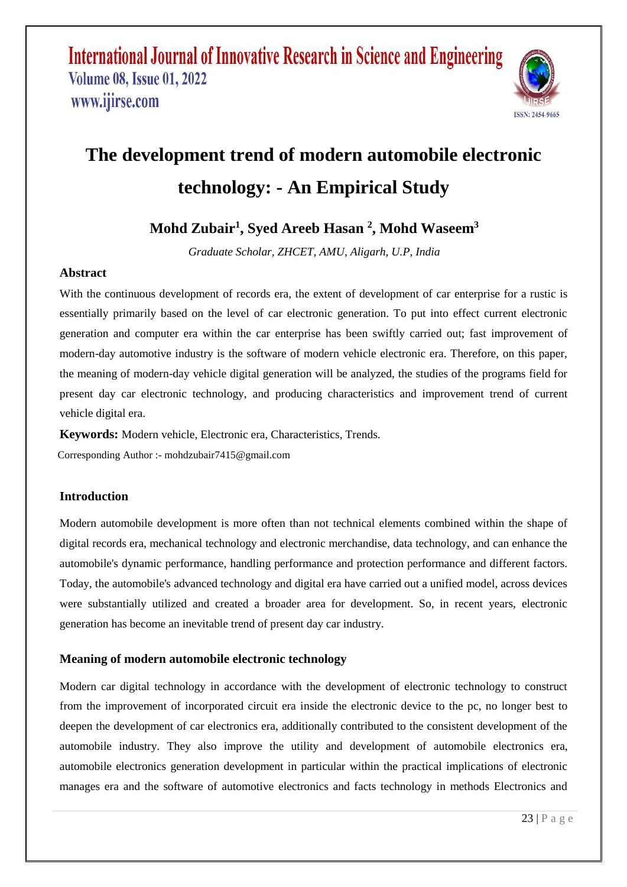

# **The development trend of modern automobile electronic technology: - An Empirical Study**

# **Mohd Zubair<sup>1</sup> , Syed Areeb Hasan <sup>2</sup> , Mohd Waseem<sup>3</sup>**

*Graduate Scholar, ZHCET, AMU, Aligarh, U.P, India*

### **Abstract**

With the continuous development of records era, the extent of development of car enterprise for a rustic is essentially primarily based on the level of car electronic generation. To put into effect current electronic generation and computer era within the car enterprise has been swiftly carried out; fast improvement of modern-day automotive industry is the software of modern vehicle electronic era. Therefore, on this paper, the meaning of modern-day vehicle digital generation will be analyzed, the studies of the programs field for present day car electronic technology, and producing characteristics and improvement trend of current vehicle digital era.

**Keywords:** Modern vehicle, Electronic era, Characteristics, Trends. Corresponding Author :- mohdzubair7415@gmail.com

### **Introduction**

Modern automobile development is more often than not technical elements combined within the shape of digital records era, mechanical technology and electronic merchandise, data technology, and can enhance the automobile's dynamic performance, handling performance and protection performance and different factors. Today, the automobile's advanced technology and digital era have carried out a unified model, across devices were substantially utilized and created a broader area for development. So, in recent years, electronic generation has become an inevitable trend of present day car industry.

### **Meaning of modern automobile electronic technology**

Modern car digital technology in accordance with the development of electronic technology to construct from the improvement of incorporated circuit era inside the electronic device to the pc, no longer best to deepen the development of car electronics era, additionally contributed to the consistent development of the automobile industry. They also improve the utility and development of automobile electronics era, automobile electronics generation development in particular within the practical implications of electronic manages era and the software of automotive electronics and facts technology in methods Electronics and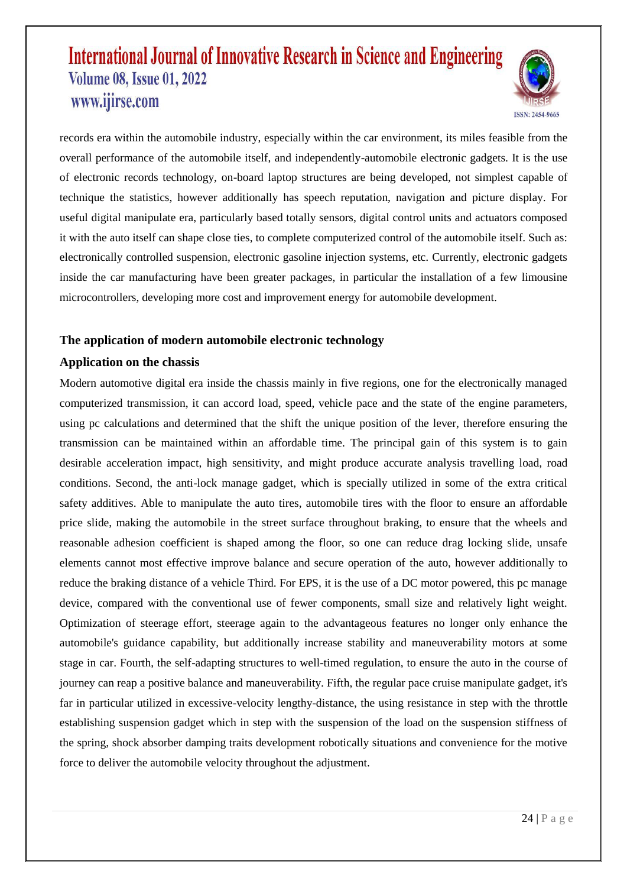

records era within the automobile industry, especially within the car environment, its miles feasible from the overall performance of the automobile itself, and independently-automobile electronic gadgets. It is the use of electronic records technology, on-board laptop structures are being developed, not simplest capable of technique the statistics, however additionally has speech reputation, navigation and picture display. For useful digital manipulate era, particularly based totally sensors, digital control units and actuators composed it with the auto itself can shape close ties, to complete computerized control of the automobile itself. Such as: electronically controlled suspension, electronic gasoline injection systems, etc. Currently, electronic gadgets inside the car manufacturing have been greater packages, in particular the installation of a few limousine microcontrollers, developing more cost and improvement energy for automobile development.

### **The application of modern automobile electronic technology**

#### **Application on the chassis**

Modern automotive digital era inside the chassis mainly in five regions, one for the electronically managed computerized transmission, it can accord load, speed, vehicle pace and the state of the engine parameters, using pc calculations and determined that the shift the unique position of the lever, therefore ensuring the transmission can be maintained within an affordable time. The principal gain of this system is to gain desirable acceleration impact, high sensitivity, and might produce accurate analysis travelling load, road conditions. Second, the anti-lock manage gadget, which is specially utilized in some of the extra critical safety additives. Able to manipulate the auto tires, automobile tires with the floor to ensure an affordable price slide, making the automobile in the street surface throughout braking, to ensure that the wheels and reasonable adhesion coefficient is shaped among the floor, so one can reduce drag locking slide, unsafe elements cannot most effective improve balance and secure operation of the auto, however additionally to reduce the braking distance of a vehicle Third. For EPS, it is the use of a DC motor powered, this pc manage device, compared with the conventional use of fewer components, small size and relatively light weight. Optimization of steerage effort, steerage again to the advantageous features no longer only enhance the automobile's guidance capability, but additionally increase stability and maneuverability motors at some stage in car. Fourth, the self-adapting structures to well-timed regulation, to ensure the auto in the course of journey can reap a positive balance and maneuverability. Fifth, the regular pace cruise manipulate gadget, it's far in particular utilized in excessive-velocity lengthy-distance, the using resistance in step with the throttle establishing suspension gadget which in step with the suspension of the load on the suspension stiffness of the spring, shock absorber damping traits development robotically situations and convenience for the motive force to deliver the automobile velocity throughout the adjustment.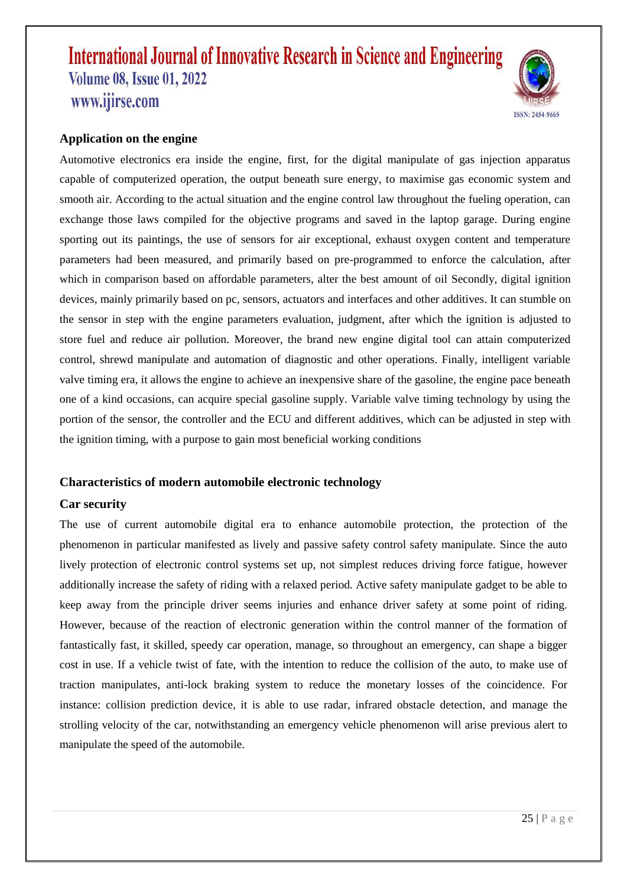

#### **Application on the engine**

Automotive electronics era inside the engine, first, for the digital manipulate of gas injection apparatus capable of computerized operation, the output beneath sure energy, to maximise gas economic system and smooth air. According to the actual situation and the engine control law throughout the fueling operation, can exchange those laws compiled for the objective programs and saved in the laptop garage. During engine sporting out its paintings, the use of sensors for air exceptional, exhaust oxygen content and temperature parameters had been measured, and primarily based on pre-programmed to enforce the calculation, after which in comparison based on affordable parameters, alter the best amount of oil Secondly, digital ignition devices, mainly primarily based on pc, sensors, actuators and interfaces and other additives. It can stumble on the sensor in step with the engine parameters evaluation, judgment, after which the ignition is adjusted to store fuel and reduce air pollution. Moreover, the brand new engine digital tool can attain computerized control, shrewd manipulate and automation of diagnostic and other operations. Finally, intelligent variable valve timing era, it allows the engine to achieve an inexpensive share of the gasoline, the engine pace beneath one of a kind occasions, can acquire special gasoline supply. Variable valve timing technology by using the portion of the sensor, the controller and the ECU and different additives, which can be adjusted in step with the ignition timing, with a purpose to gain most beneficial working conditions

#### **Characteristics of modern automobile electronic technology**

#### **Car security**

The use of current automobile digital era to enhance automobile protection, the protection of the phenomenon in particular manifested as lively and passive safety control safety manipulate. Since the auto lively protection of electronic control systems set up, not simplest reduces driving force fatigue, however additionally increase the safety of riding with a relaxed period. Active safety manipulate gadget to be able to keep away from the principle driver seems injuries and enhance driver safety at some point of riding. However, because of the reaction of electronic generation within the control manner of the formation of fantastically fast, it skilled, speedy car operation, manage, so throughout an emergency, can shape a bigger cost in use. If a vehicle twist of fate, with the intention to reduce the collision of the auto, to make use of traction manipulates, anti-lock braking system to reduce the monetary losses of the coincidence. For instance: collision prediction device, it is able to use radar, infrared obstacle detection, and manage the strolling velocity of the car, notwithstanding an emergency vehicle phenomenon will arise previous alert to manipulate the speed of the automobile.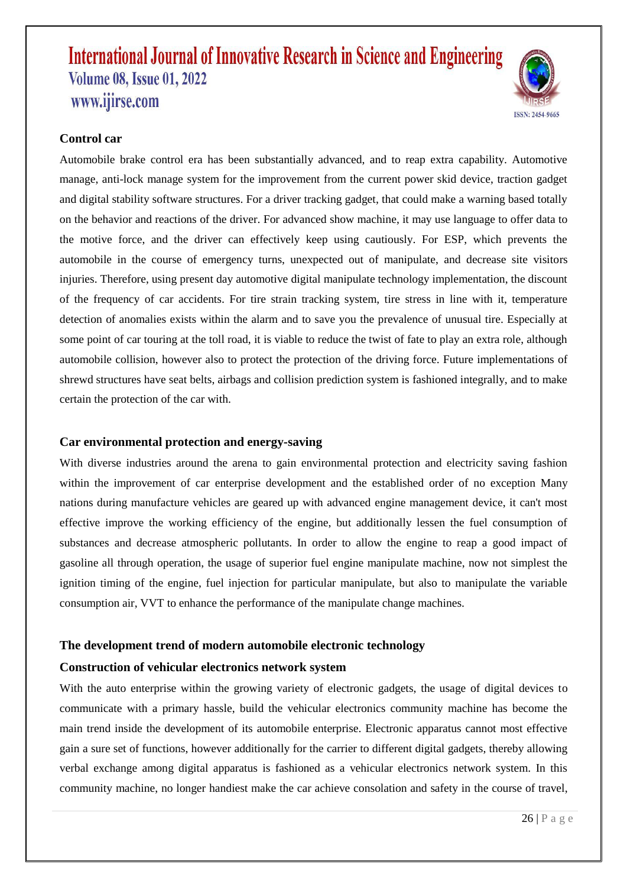

### **Control car**

Automobile brake control era has been substantially advanced, and to reap extra capability. Automotive manage, anti-lock manage system for the improvement from the current power skid device, traction gadget and digital stability software structures. For a driver tracking gadget, that could make a warning based totally on the behavior and reactions of the driver. For advanced show machine, it may use language to offer data to the motive force, and the driver can effectively keep using cautiously. For ESP, which prevents the automobile in the course of emergency turns, unexpected out of manipulate, and decrease site visitors injuries. Therefore, using present day automotive digital manipulate technology implementation, the discount of the frequency of car accidents. For tire strain tracking system, tire stress in line with it, temperature detection of anomalies exists within the alarm and to save you the prevalence of unusual tire. Especially at some point of car touring at the toll road, it is viable to reduce the twist of fate to play an extra role, although automobile collision, however also to protect the protection of the driving force. Future implementations of shrewd structures have seat belts, airbags and collision prediction system is fashioned integrally, and to make certain the protection of the car with.

#### **Car environmental protection and energy-saving**

With diverse industries around the arena to gain environmental protection and electricity saving fashion within the improvement of car enterprise development and the established order of no exception Many nations during manufacture vehicles are geared up with advanced engine management device, it can't most effective improve the working efficiency of the engine, but additionally lessen the fuel consumption of substances and decrease atmospheric pollutants. In order to allow the engine to reap a good impact of gasoline all through operation, the usage of superior fuel engine manipulate machine, now not simplest the ignition timing of the engine, fuel injection for particular manipulate, but also to manipulate the variable consumption air, VVT to enhance the performance of the manipulate change machines.

## **The development trend of modern automobile electronic technology**

#### **Construction of vehicular electronics network system**

With the auto enterprise within the growing variety of electronic gadgets, the usage of digital devices to communicate with a primary hassle, build the vehicular electronics community machine has become the main trend inside the development of its automobile enterprise. Electronic apparatus cannot most effective gain a sure set of functions, however additionally for the carrier to different digital gadgets, thereby allowing verbal exchange among digital apparatus is fashioned as a vehicular electronics network system. In this community machine, no longer handiest make the car achieve consolation and safety in the course of travel,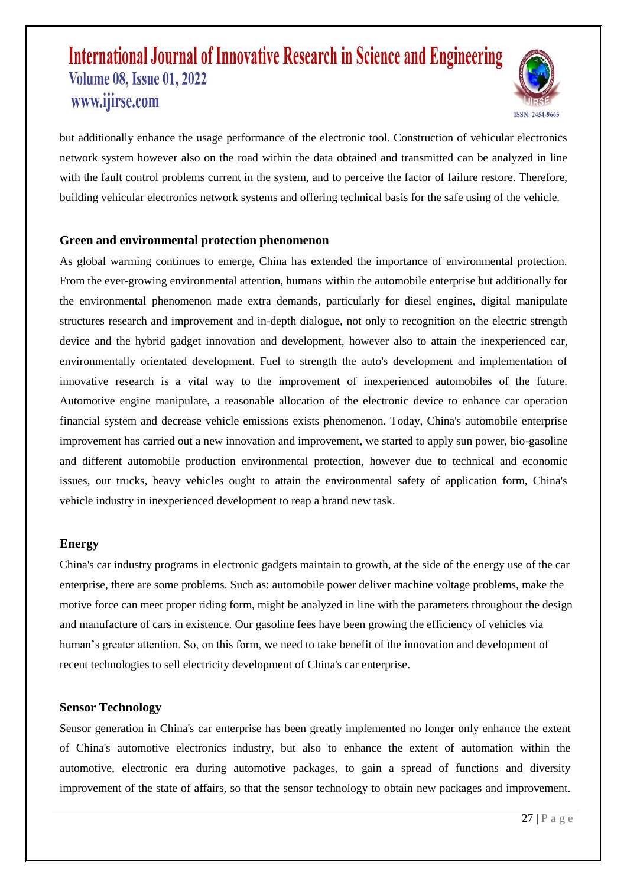

but additionally enhance the usage performance of the electronic tool. Construction of vehicular electronics network system however also on the road within the data obtained and transmitted can be analyzed in line with the fault control problems current in the system, and to perceive the factor of failure restore. Therefore, building vehicular electronics network systems and offering technical basis for the safe using of the vehicle.

#### **Green and environmental protection phenomenon**

As global warming continues to emerge, China has extended the importance of environmental protection. From the ever-growing environmental attention, humans within the automobile enterprise but additionally for the environmental phenomenon made extra demands, particularly for diesel engines, digital manipulate structures research and improvement and in-depth dialogue, not only to recognition on the electric strength device and the hybrid gadget innovation and development, however also to attain the inexperienced car, environmentally orientated development. Fuel to strength the auto's development and implementation of innovative research is a vital way to the improvement of inexperienced automobiles of the future. Automotive engine manipulate, a reasonable allocation of the electronic device to enhance car operation financial system and decrease vehicle emissions exists phenomenon. Today, China's automobile enterprise improvement has carried out a new innovation and improvement, we started to apply sun power, bio-gasoline and different automobile production environmental protection, however due to technical and economic issues, our trucks, heavy vehicles ought to attain the environmental safety of application form, China's vehicle industry in inexperienced development to reap a brand new task.

#### **Energy**

China's car industry programs in electronic gadgets maintain to growth, at the side of the energy use of the car enterprise, there are some problems. Such as: automobile power deliver machine voltage problems, make the motive force can meet proper riding form, might be analyzed in line with the parameters throughout the design and manufacture of cars in existence. Our gasoline fees have been growing the efficiency of vehicles via human's greater attention. So, on this form, we need to take benefit of the innovation and development of recent technologies to sell electricity development of China's car enterprise.

#### **Sensor Technology**

Sensor generation in China's car enterprise has been greatly implemented no longer only enhance the extent of China's automotive electronics industry, but also to enhance the extent of automation within the automotive, electronic era during automotive packages, to gain a spread of functions and diversity improvement of the state of affairs, so that the sensor technology to obtain new packages and improvement.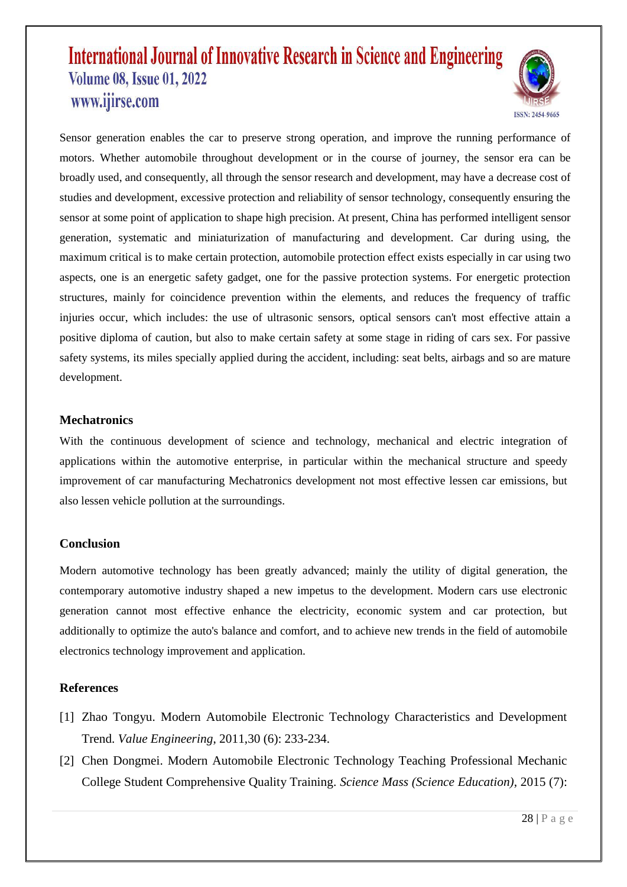

Sensor generation enables the car to preserve strong operation, and improve the running performance of motors. Whether automobile throughout development or in the course of journey, the sensor era can be broadly used, and consequently, all through the sensor research and development, may have a decrease cost of studies and development, excessive protection and reliability of sensor technology, consequently ensuring the sensor at some point of application to shape high precision. At present, China has performed intelligent sensor generation, systematic and miniaturization of manufacturing and development. Car during using, the maximum critical is to make certain protection, automobile protection effect exists especially in car using two aspects, one is an energetic safety gadget, one for the passive protection systems. For energetic protection structures, mainly for coincidence prevention within the elements, and reduces the frequency of traffic injuries occur, which includes: the use of ultrasonic sensors, optical sensors can't most effective attain a positive diploma of caution, but also to make certain safety at some stage in riding of cars sex. For passive safety systems, its miles specially applied during the accident, including: seat belts, airbags and so are mature development.

#### **Mechatronics**

With the continuous development of science and technology, mechanical and electric integration of applications within the automotive enterprise, in particular within the mechanical structure and speedy improvement of car manufacturing Mechatronics development not most effective lessen car emissions, but also lessen vehicle pollution at the surroundings.

### **Conclusion**

Modern automotive technology has been greatly advanced; mainly the utility of digital generation, the contemporary automotive industry shaped a new impetus to the development. Modern cars use electronic generation cannot most effective enhance the electricity, economic system and car protection, but additionally to optimize the auto's balance and comfort, and to achieve new trends in the field of automobile electronics technology improvement and application.

### **References**

- [1] Zhao Tongyu. Modern Automobile Electronic Technology Characteristics and Development Trend. *Value Engineering*, 2011,30 (6): 233-234.
- [2] Chen Dongmei. Modern Automobile Electronic Technology Teaching Professional Mechanic College Student Comprehensive Quality Training. *Science Mass (Science Education)*, 2015 (7):